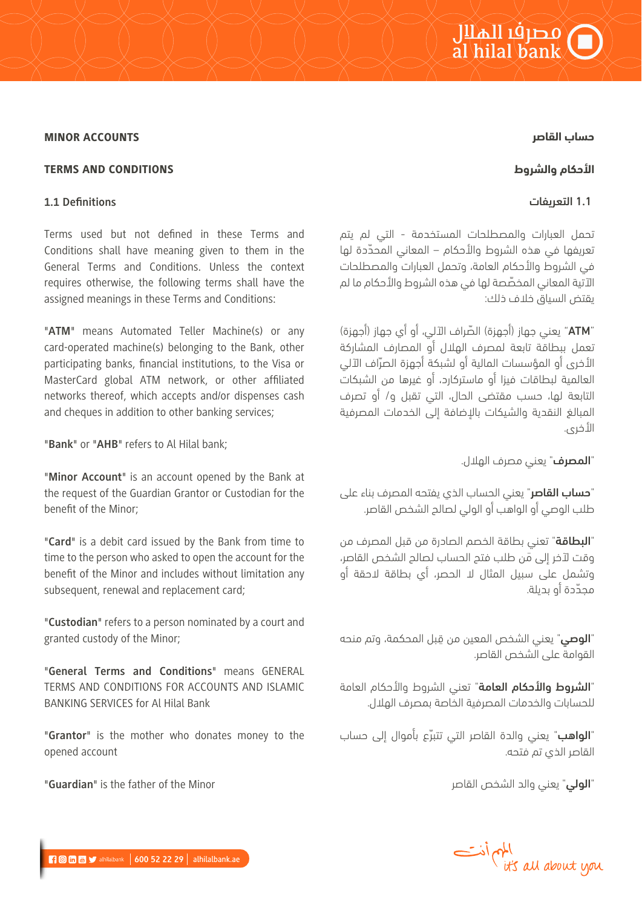# o الملك<br>al hilal bank

### **حساب القاصر**

#### MINOR ACCOUNTS

# **الأحكام والشروط**

# 1**.**1 التعريفات

تحمل العبارات والمصطلحات المستخدمة - التي لم يتم ّ تعريفها في هذه الشروط والأحكام – المعاني المحددة لها في الشروط والأحكام العامة، وتحمل العبارات والمصطلحات ّ الآتية المعاني المخصصة لها في هذه الشروط والأحكام ما لم يقتض السياق خلاف ذلك:

"ATM ّ " يعني جهاز (أجهزة) الصراف الآلي، أو أي جهاز (أجهزة) تعمل ببطاقة تابعة لمصرف الهلال أو المصارف المشاركة ّ الأخرى أو المؤسسات المالية أو لشبكة أجهزة الصراف الآلي العالمية لبطاقات فيزا أو ماستركارد، أو غيرها من الشبكات التابعة لها، حسب مقتضى الحال، التي تقبل و/ أو تصرف المبالغ النقدية والشيكات بالإضافة إلى الخدمات المصرفية الأخرى.

"المصرف" يعني مصرف الهلال.

"حساب القاصر" يعني الحساب الذي يفتحه المصرف بناء على طلب الوصي أو الواهب أو الولي لصالح الشخص القاصر.

"البطاقة" تعني بطاقة الخصم الصادرة من قبل المصرف من َ وقت لآخر إلى من طلب فتح الحساب لصالح الشخص القاصر، وتشمل على سبيل المثال لا الحصر، أي بطاقة لاحقة أو محدّدة أو بديلة.

"**الوصي**" يعني الشخص المعين من قِبل المحكمة، وتم منحه القوامة على الشخص القاصر.

"الشروط والأحكام العامة" تعني الشروط والأحكام العامة للحسابات والخدمات المصرفية الخاصة بمصرف الهلال.

"**الواهب**" يعني والدة القاصر التي تتبرّع بأموال إلى حساب القاصر الذي تم فتحه.

"الولي" يعني والد الشخص القاصر



# TERMS AND CONDITIONS

#### **1.1 Definitions**

Terms used but not defined in these Terms and Conditions shall have meaning given to them in the General Terms and Conditions. Unless the context requires otherwise, the following terms shall have the assigned meanings in these Terms and Conditions:

"**ATM**" means Automated Teller Machine(s) or any card-operated machine(s) belonging to the Bank, other participating banks, financial institutions, to the Visa or MasterCard global ATM network, or other affiliated networks thereof, which accepts and/or dispenses cash and cheques in addition to other banking services;

"**Bank**" or "**AHB**" refers to Al Hilal bank;

"**Minor Account**" is an account opened by the Bank at the request of the Guardian Grantor or Custodian for the benefit of the Minor;

"**Card**" is a debit card issued by the Bank from time to time to the person who asked to open the account for the benefit of the Minor and includes without limitation any subsequent, renewal and replacement card;

"**Custodian**" refers to a person nominated by a court and granted custody of the Minor;

"**General Terms and Conditions**" means GENERAL TERMS AND CONDITIONS FOR ACCOUNTS AND ISLAMIC BANKING SERVICES for Al Hilal Bank

"**Grantor**" is the mother who donates money to the opened account

"**Guardian**" is the father of the Minor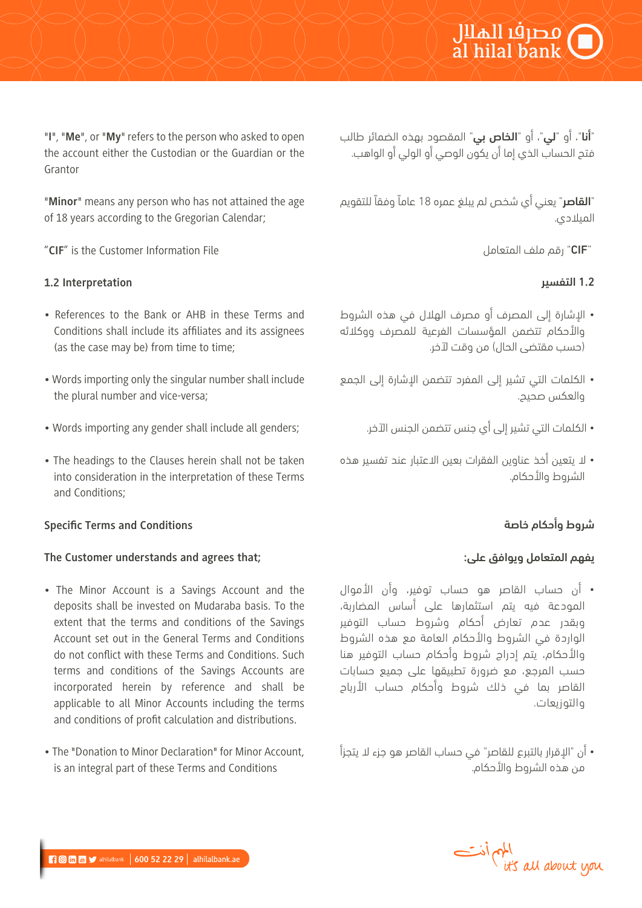"أنا"، أو "لي"، أو "الخاص بي" المقصود بهذه الضمائر طالب فتح الحساب الذي إما أن يكون الوصي أو الولي أو الواهب.

"القاصر" يعني أي شخص لم يبلغ عمره 18 عاماً وفقاً للتقويم الميلادي.

"CIF "رقم ملف المتعامل

# 1**.**2 التفسير

- الإشارة إلى المصرف أو مصرف الهلال في هذه الشروط والأحكام تتضمن المؤسسات الفرعية للمصرف ووكلائه (حسب مقتضى الحال) من وقت لآخر.
- الكلمات التي تشير إلى المفرد تتضمن الإشارة إلى الجمع والعكس صحيح.
	- الكلمات التي تشير إلى أي جنس تتضمن الجنس الآخر.
- لا يتعين أخذ عناوين الفقرات بعين الاعتبار عند تفسير هذه الشروط والأحكام.

# شروط وأحكام خاصة

# يفهم المتعامل ويوافق على:

- أن حساب القاصر هو حساب توفير، وأن الأموال المودعة فيه يتم استثمارها على أساس المضاربة، وبقدر عدم تعارض أحكام وشروط حساب التوفير الواردة في الشروط والأحكام العامة مع هذه الشروط والأحكام، يتم إدراج شروط وأحكام حساب التوفير هنا حسب المرجع، مع ضرورة تطبيقها على جميع حسابات القاصر بما في ذلك شروط وأحكام حساب الأرباح والتوزيعات.
- أن "الإقرار بالتبرع للقاصر" في حساب القاصر هو جزء لا يتجزأ من هذه الشروط والأحكام.

"**I**", "**Me**", or "**My**" refers to the person who asked to open the account either the Custodian or the Guardian or the Grantor

"**Minor**" means any person who has not attained the age of 18 years according to the Gregorian Calendar;

"**CIF**" is the Customer Information File

# **1.2 Interpretation**

- References to the Bank or AHB in these Terms and Conditions shall include its affiliates and its assignees (as the case may be) from time to time;
- Words importing only the singular number shall include the plural number and vice-versa;
- Words importing any gender shall include all genders;
- The headings to the Clauses herein shall not be taken into consideration in the interpretation of these Terms and Conditions;

# **Specific Terms and Conditions**

# **The Customer understands and agrees that;**

- The Minor Account is a Savings Account and the deposits shall be invested on Mudaraba basis. To the extent that the terms and conditions of the Savings Account set out in the General Terms and Conditions do not conflict with these Terms and Conditions. Such terms and conditions of the Savings Accounts are incorporated herein by reference and shall be applicable to all Minor Accounts including the terms and conditions of profit calculation and distributions.
- The "Donation to Minor Declaration" for Minor Account, is an integral part of these Terms and Conditions